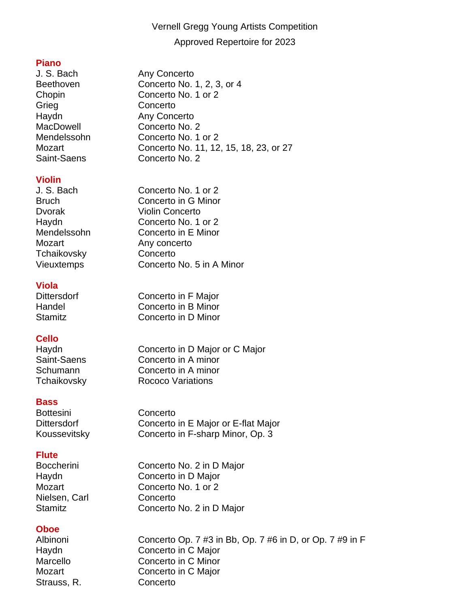# Vernell Gregg Young Artists Competition Approved Repertoire for 2023

**Piano** Beethoven Concerto No. 1, 2, 3, or 4 Chopin Concerto No. 1 or 2 Grieg Concerto Haydn **Any Concerto** MacDowell Concerto No. 2 Mendelssohn Concerto No. 1 or 2 Mozart Concerto No. 11, 12, 15, 18, 23, or 27 Saint-Saens Concerto No. 2

#### **Violin**

J. S. Bach Concerto No. 1 or 2 Bruch Concerto in G Minor Dvorak Violin Concerto Haydn Concerto No. 1 or 2 Mendelssohn Concerto in E Minor Mozart Any concerto Tchaikovsky Concerto Vieuxtemps Concerto No. 5 in A Minor

#### **Viola**

## **Cello**

#### **Bass**

Bottesini Concerto

#### **Flute**

Nielsen, Carl Concerto

#### **Oboe**

Strauss, R. Concerto

Albinoni Concerto Op. 7 #3 in Bb, Op. 7 #6 in D, or Op. 7 #9 in F Haydn Concerto in C Major Marcello Concerto in C Minor Mozart **Concerto** in C Major

Dittersdorf Concerto in F Major Handel Concerto in B Minor Stamitz **Concerto in D Minor** 

Any Concerto

Haydn Concerto in D Major or C Major Saint-Saens Concerto in A minor Schumann Concerto in A minor Tchaikovsky Rococo Variations

Dittersdorf Concerto in E Major or E-flat Major Koussevitsky Concerto in F-sharp Minor, Op. 3

Boccherini Concerto No. 2 in D Major Haydn Concerto in D Major Mozart Concerto No. 1 or 2 Stamitz **Concerto No. 2 in D Major**